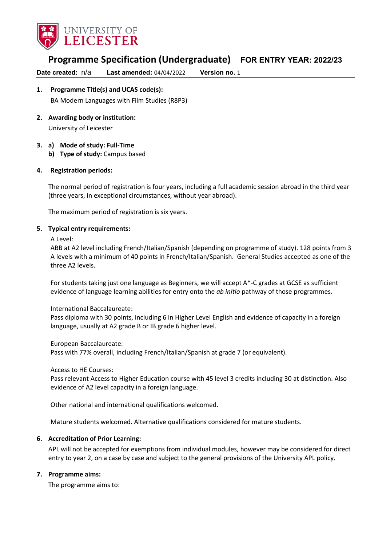

# **Programme Specification (Undergraduate) FOR ENTRY YEAR: 2022/23**

**Date created:** n/a **Last amended:** 04/04/2022 **Version no.** 1

# **1. Programme Title(s) and UCAS code(s):**

BA Modern Languages with Film Studies (R8P3)

**2. Awarding body or institution:**

University of Leicester

### **3. a) Mode of study: Full-Time**

**b) Type of study:** Campus based

### **4. Registration periods:**

The normal period of registration is four years, including a full academic session abroad in the third year (three years, in exceptional circumstances, without year abroad).

The maximum period of registration is six years.

### **5. Typical entry requirements:**

A Level:

ABB at A2 level including French/Italian/Spanish (depending on programme of study). 128 points from 3 A levels with a minimum of 40 points in French/Italian/Spanish. General Studies accepted as one of the three A2 levels.

For students taking just one language as Beginners, we will accept A\*-C grades at GCSE as sufficient evidence of language learning abilities for entry onto the *ab initio* pathway of those programmes.

International Baccalaureate:

Pass diploma with 30 points, including 6 in Higher Level English and evidence of capacity in a foreign language, usually at A2 grade B or IB grade 6 higher level.

European Baccalaureate:

Pass with 77% overall, including French/Italian/Spanish at grade 7 (or equivalent).

Access to HE Courses:

Pass relevant Access to Higher Education course with 45 level 3 credits including 30 at distinction. Also evidence of A2 level capacity in a foreign language.

Other national and international qualifications welcomed.

Mature students welcomed. Alternative qualifications considered for mature students.

### **6. Accreditation of Prior Learning:**

APL will not be accepted for exemptions from individual modules, however may be considered for direct entry to year 2, on a case by case and subject to the general provisions of the University APL policy.

### **7. Programme aims:**

The programme aims to: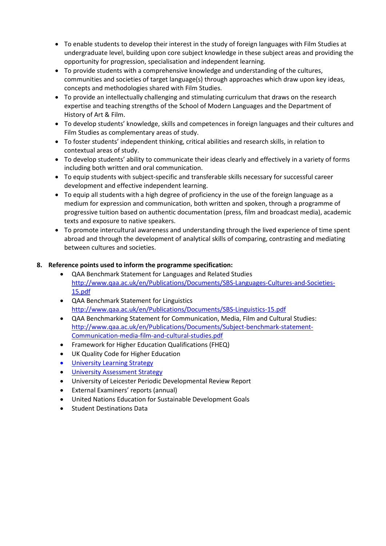- To enable students to develop their interest in the study of foreign languages with Film Studies at undergraduate level, building upon core subject knowledge in these subject areas and providing the opportunity for progression, specialisation and independent learning.
- To provide students with a comprehensive knowledge and understanding of the cultures, communities and societies of target language(s) through approaches which draw upon key ideas, concepts and methodologies shared with Film Studies.
- To provide an intellectually challenging and stimulating curriculum that draws on the research expertise and teaching strengths of the School of Modern Languages and the Department of History of Art & Film.
- To develop students' knowledge, skills and competences in foreign languages and their cultures and Film Studies as complementary areas of study.
- To foster students' independent thinking, critical abilities and research skills, in relation to contextual areas of study.
- To develop students' ability to communicate their ideas clearly and effectively in a variety of forms including both written and oral communication.
- To equip students with subject-specific and transferable skills necessary for successful career development and effective independent learning.
- To equip all students with a high degree of proficiency in the use of the foreign language as a medium for expression and communication, both written and spoken, through a programme of progressive tuition based on authentic documentation (press, film and broadcast media), academic texts and exposure to native speakers.
- To promote intercultural awareness and understanding through the lived experience of time spent abroad and through the development of analytical skills of comparing, contrasting and mediating between cultures and societies.

### **8. Reference points used to inform the programme specification:**

- QAA Benchmark Statement for Languages and Related Studies [http://www.qaa.ac.uk/en/Publications/Documents/SBS-Languages-Cultures-and-Societies-](http://www.qaa.ac.uk/en/Publications/Documents/SBS-Languages-Cultures-and-Societies-15.pdf)[15.pdf](http://www.qaa.ac.uk/en/Publications/Documents/SBS-Languages-Cultures-and-Societies-15.pdf)
- QAA Benchmark Statement for Linguistics <http://www.qaa.ac.uk/en/Publications/Documents/SBS-Linguistics-15.pdf>
- QAA Benchmarking Statement for Communication, Media, Film and Cultural Studies: [http://www.qaa.ac.uk/en/Publications/Documents/Subject-benchmark-statement-](http://www.qaa.ac.uk/en/Publications/Documents/Subject-benchmark-statement-Communication-media-film-and-cultural-studies.pdf)[Communication-media-film-and-cultural-studies.pdf](http://www.qaa.ac.uk/en/Publications/Documents/Subject-benchmark-statement-Communication-media-film-and-cultural-studies.pdf)
- Framework for Higher Education Qualifications (FHEQ)
- UK Quality Code for Higher Education
- **University Learning [Strategy](https://www2.le.ac.uk/offices/sas2/quality/learnteach)**
- **[University Assessment Strategy](https://www2.le.ac.uk/offices/sas2/quality/learnteach)**
- University of Leicester Periodic Developmental Review Report
- External Examiners' reports (annual)
- United Nations Education for Sustainable Development Goals
- Student Destinations Data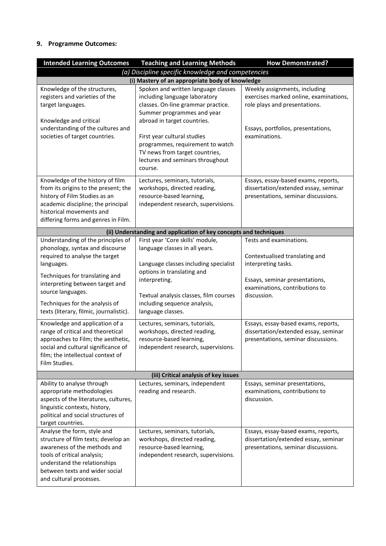## **9. Programme Outcomes:**

| <b>Intended Learning Outcomes</b>                                                                                                                                                                                                                                                                                                                                                                                                                                                                      | <b>Teaching and Learning Methods</b>                                                                                                                                                                                                                                                                                                                                                           | <b>How Demonstrated?</b>                                                                                                                                                                                                                                                                  |  |  |
|--------------------------------------------------------------------------------------------------------------------------------------------------------------------------------------------------------------------------------------------------------------------------------------------------------------------------------------------------------------------------------------------------------------------------------------------------------------------------------------------------------|------------------------------------------------------------------------------------------------------------------------------------------------------------------------------------------------------------------------------------------------------------------------------------------------------------------------------------------------------------------------------------------------|-------------------------------------------------------------------------------------------------------------------------------------------------------------------------------------------------------------------------------------------------------------------------------------------|--|--|
| (a) Discipline specific knowledge and competencies                                                                                                                                                                                                                                                                                                                                                                                                                                                     |                                                                                                                                                                                                                                                                                                                                                                                                |                                                                                                                                                                                                                                                                                           |  |  |
| (i) Mastery of an appropriate body of knowledge                                                                                                                                                                                                                                                                                                                                                                                                                                                        |                                                                                                                                                                                                                                                                                                                                                                                                |                                                                                                                                                                                                                                                                                           |  |  |
| Knowledge of the structures,<br>registers and varieties of the<br>target languages.<br>Knowledge and critical<br>understanding of the cultures and<br>societies of target countries.                                                                                                                                                                                                                                                                                                                   | Spoken and written language classes<br>including language laboratory<br>classes. On-line grammar practice.<br>Summer programmes and year<br>abroad in target countries.<br>First year cultural studies                                                                                                                                                                                         | Weekly assignments, including<br>exercises marked online, examinations,<br>role plays and presentations.<br>Essays, portfolios, presentations,<br>examinations.                                                                                                                           |  |  |
|                                                                                                                                                                                                                                                                                                                                                                                                                                                                                                        | programmes, requirement to watch<br>TV news from target countries,<br>lectures and seminars throughout<br>course.                                                                                                                                                                                                                                                                              |                                                                                                                                                                                                                                                                                           |  |  |
| Knowledge of the history of film<br>from its origins to the present; the<br>history of Film Studies as an<br>academic discipline; the principal<br>historical movements and<br>differing forms and genres in Film.                                                                                                                                                                                                                                                                                     | Lectures, seminars, tutorials,<br>workshops, directed reading,<br>resource-based learning,<br>independent research, supervisions.                                                                                                                                                                                                                                                              | Essays, essay-based exams, reports,<br>dissertation/extended essay, seminar<br>presentations, seminar discussions.                                                                                                                                                                        |  |  |
|                                                                                                                                                                                                                                                                                                                                                                                                                                                                                                        | (ii) Understanding and application of key concepts and techniques                                                                                                                                                                                                                                                                                                                              |                                                                                                                                                                                                                                                                                           |  |  |
| Understanding of the principles of<br>phonology, syntax and discourse<br>required to analyse the target<br>languages.<br>Techniques for translating and<br>interpreting between target and<br>source languages.<br>Techniques for the analysis of<br>texts (literary, filmic, journalistic).<br>Knowledge and application of a<br>range of critical and theoretical<br>approaches to Film; the aesthetic,<br>social and cultural significance of<br>film; the intellectual context of<br>Film Studies. | First year 'Core skills' module,<br>language classes in all years.<br>Language classes including specialist<br>options in translating and<br>interpreting.<br>Textual analysis classes, film courses<br>including sequence analysis,<br>language classes.<br>Lectures, seminars, tutorials,<br>workshops, directed reading,<br>resource-based learning,<br>independent research, supervisions. | Tests and examinations.<br>Contextualised translating and<br>interpreting tasks.<br>Essays, seminar presentations,<br>examinations, contributions to<br>discussion.<br>Essays, essay-based exams, reports,<br>dissertation/extended essay, seminar<br>presentations, seminar discussions. |  |  |
| (iii) Critical analysis of key issues                                                                                                                                                                                                                                                                                                                                                                                                                                                                  |                                                                                                                                                                                                                                                                                                                                                                                                |                                                                                                                                                                                                                                                                                           |  |  |
| Ability to analyse through<br>appropriate methodologies<br>aspects of the literatures, cultures,<br>linguistic contexts, history,<br>political and social structures of<br>target countries.                                                                                                                                                                                                                                                                                                           | Lectures, seminars, independent<br>reading and research.                                                                                                                                                                                                                                                                                                                                       | Essays, seminar presentations,<br>examinations, contributions to<br>discussion.                                                                                                                                                                                                           |  |  |
| Analyse the form, style and<br>structure of film texts; develop an<br>awareness of the methods and<br>tools of critical analysis;<br>understand the relationships<br>between texts and wider social<br>and cultural processes.                                                                                                                                                                                                                                                                         | Lectures, seminars, tutorials,<br>workshops, directed reading,<br>resource-based learning,<br>independent research, supervisions.                                                                                                                                                                                                                                                              | Essays, essay-based exams, reports,<br>dissertation/extended essay, seminar<br>presentations, seminar discussions.                                                                                                                                                                        |  |  |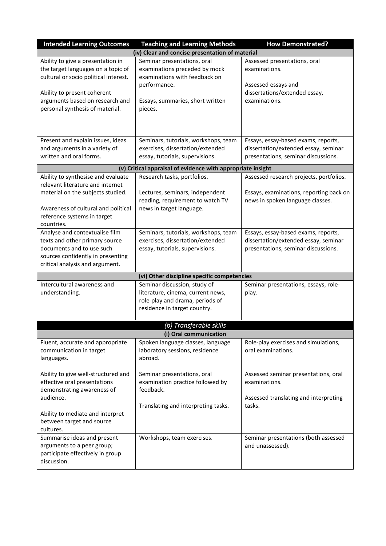| <b>Intended Learning Outcomes</b>                                           | <b>Teaching and Learning Methods</b>                                 | <b>How Demonstrated?</b>                              |
|-----------------------------------------------------------------------------|----------------------------------------------------------------------|-------------------------------------------------------|
|                                                                             | (iv) Clear and concise presentation of material                      |                                                       |
| Ability to give a presentation in                                           | Seminar presentations, oral                                          | Assessed presentations, oral                          |
| the target languages on a topic of<br>cultural or socio political interest. | examinations preceded by mock<br>examinations with feedback on       | examinations.                                         |
|                                                                             | performance.                                                         | Assessed essays and                                   |
| Ability to present coherent                                                 |                                                                      | dissertations/extended essay,                         |
| arguments based on research and                                             | Essays, summaries, short written                                     | examinations.                                         |
| personal synthesis of material.                                             | pieces.                                                              |                                                       |
|                                                                             |                                                                      |                                                       |
|                                                                             |                                                                      |                                                       |
| Present and explain issues, ideas                                           | Seminars, tutorials, workshops, team                                 | Essays, essay-based exams, reports,                   |
| and arguments in a variety of                                               | exercises, dissertation/extended                                     | dissertation/extended essay, seminar                  |
| written and oral forms.                                                     | essay, tutorials, supervisions.                                      | presentations, seminar discussions.                   |
|                                                                             | (v) Critical appraisal of evidence with appropriate insight          |                                                       |
| Ability to synthesise and evaluate                                          | Research tasks, portfolios.                                          | Assessed research projects, portfolios.               |
| relevant literature and internet                                            |                                                                      |                                                       |
| material on the subjects studied.                                           | Lectures, seminars, independent                                      | Essays, examinations, reporting back on               |
| Awareness of cultural and political                                         | reading, requirement to watch TV<br>news in target language.         | news in spoken language classes.                      |
| reference systems in target                                                 |                                                                      |                                                       |
| countries.                                                                  |                                                                      |                                                       |
| Analyse and contextualise film                                              | Seminars, tutorials, workshops, team                                 | Essays, essay-based exams, reports,                   |
| texts and other primary source                                              | exercises, dissertation/extended                                     | dissertation/extended essay, seminar                  |
| documents and to use such                                                   | essay, tutorials, supervisions.                                      | presentations, seminar discussions.                   |
| sources confidently in presenting                                           |                                                                      |                                                       |
| critical analysis and argument.                                             |                                                                      |                                                       |
|                                                                             | (vi) Other discipline specific competencies                          |                                                       |
| Intercultural awareness and                                                 | Seminar discussion, study of                                         | Seminar presentations, essays, role-                  |
| understanding.                                                              | literature, cinema, current news,<br>role-play and drama, periods of | play.                                                 |
|                                                                             | residence in target country.                                         |                                                       |
|                                                                             |                                                                      |                                                       |
|                                                                             | (b) Transferable skills                                              |                                                       |
|                                                                             | (i) Oral communication                                               |                                                       |
| Fluent, accurate and appropriate                                            | Spoken language classes, language                                    | Role-play exercises and simulations,                  |
| communication in target                                                     | laboratory sessions, residence                                       | oral examinations.                                    |
| languages.                                                                  | abroad.                                                              |                                                       |
|                                                                             |                                                                      |                                                       |
| Ability to give well-structured and                                         | Seminar presentations, oral                                          | Assessed seminar presentations, oral<br>examinations. |
| effective oral presentations<br>demonstrating awareness of                  | examination practice followed by<br>feedback.                        |                                                       |
| audience.                                                                   |                                                                      | Assessed translating and interpreting                 |
|                                                                             | Translating and interpreting tasks.                                  | tasks.                                                |
| Ability to mediate and interpret                                            |                                                                      |                                                       |
| between target and source                                                   |                                                                      |                                                       |
| cultures.                                                                   |                                                                      |                                                       |
| Summarise ideas and present                                                 | Workshops, team exercises.                                           | Seminar presentations (both assessed                  |
| arguments to a peer group;<br>participate effectively in group              |                                                                      | and unassessed).                                      |
| discussion.                                                                 |                                                                      |                                                       |
|                                                                             |                                                                      |                                                       |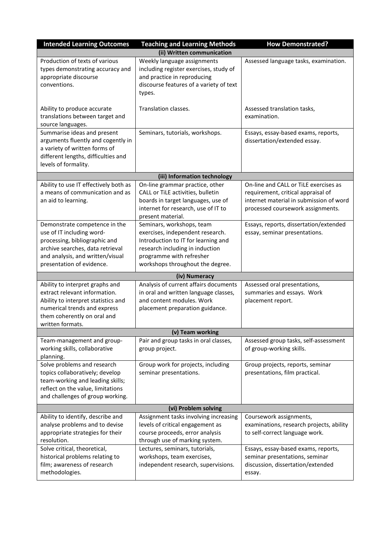| <b>Intended Learning Outcomes</b>                                                                                                                                                                | <b>Teaching and Learning Methods</b>                                                                                                                                                                    | <b>How Demonstrated?</b>                                                                                                                                    |  |
|--------------------------------------------------------------------------------------------------------------------------------------------------------------------------------------------------|---------------------------------------------------------------------------------------------------------------------------------------------------------------------------------------------------------|-------------------------------------------------------------------------------------------------------------------------------------------------------------|--|
| (ii) Written communication                                                                                                                                                                       |                                                                                                                                                                                                         |                                                                                                                                                             |  |
| Production of texts of various<br>types demonstrating accuracy and<br>appropriate discourse<br>conventions.                                                                                      | Weekly language assignments<br>including register exercises, study of<br>and practice in reproducing<br>discourse features of a variety of text<br>types.                                               | Assessed language tasks, examination.                                                                                                                       |  |
| Ability to produce accurate<br>translations between target and<br>source languages.                                                                                                              | Translation classes.                                                                                                                                                                                    | Assessed translation tasks,<br>examination.                                                                                                                 |  |
| Summarise ideas and present<br>arguments fluently and cogently in<br>a variety of written forms of<br>different lengths, difficulties and<br>levels of formality.                                | Seminars, tutorials, workshops.                                                                                                                                                                         | Essays, essay-based exams, reports,<br>dissertation/extended essay.                                                                                         |  |
|                                                                                                                                                                                                  | (iii) Information technology                                                                                                                                                                            |                                                                                                                                                             |  |
| Ability to use IT effectively both as<br>a means of communication and as<br>an aid to learning.                                                                                                  | On-line grammar practice, other<br>CALL or TiLE activities, bulletin<br>boards in target languages, use of<br>internet for research, use of IT to<br>present material.                                  | On-line and CALL or TiLE exercises as<br>requirement, critical appraisal of<br>internet material in submission of word<br>processed coursework assignments. |  |
| Demonstrate competence in the<br>use of IT including word-<br>processing, bibliographic and<br>archive searches, data retrieval<br>and analysis, and written/visual<br>presentation of evidence. | Seminars, workshops, team<br>exercises, independent research.<br>Introduction to IT for learning and<br>research including in induction<br>programme with refresher<br>workshops throughout the degree. | Essays, reports, dissertation/extended<br>essay, seminar presentations.                                                                                     |  |
|                                                                                                                                                                                                  | (iv) Numeracy                                                                                                                                                                                           |                                                                                                                                                             |  |
| Ability to interpret graphs and<br>extract relevant information.<br>Ability to interpret statistics and<br>numerical trends and express<br>them coherently on oral and<br>written formats.       | Analysis of current affairs documents<br>in oral and written language classes,<br>and content modules. Work<br>placement preparation guidance.                                                          | Assessed oral presentations,<br>summaries and essays. Work<br>placement report.                                                                             |  |
|                                                                                                                                                                                                  | (v) Team working                                                                                                                                                                                        |                                                                                                                                                             |  |
| Team-management and group-<br>working skills, collaborative<br>planning.                                                                                                                         | Pair and group tasks in oral classes,<br>group project.                                                                                                                                                 | Assessed group tasks, self-assessment<br>of group-working skills.                                                                                           |  |
| Solve problems and research<br>topics collaboratively; develop<br>team-working and leading skills;<br>reflect on the value, limitations<br>and challenges of group working.                      | Group work for projects, including<br>seminar presentations.                                                                                                                                            | Group projects, reports, seminar<br>presentations, film practical.                                                                                          |  |
| (vi) Problem solving                                                                                                                                                                             |                                                                                                                                                                                                         |                                                                                                                                                             |  |
| Ability to identify, describe and<br>analyse problems and to devise<br>appropriate strategies for their<br>resolution.                                                                           | Assignment tasks involving increasing<br>levels of critical engagement as<br>course proceeds, error analysis<br>through use of marking system.                                                          | Coursework assignments,<br>examinations, research projects, ability<br>to self-correct language work.                                                       |  |
| Solve critical, theoretical,<br>historical problems relating to<br>film; awareness of research<br>methodologies.                                                                                 | Lectures, seminars, tutorials,<br>workshops, team exercises,<br>independent research, supervisions.                                                                                                     | Essays, essay-based exams, reports,<br>seminar presentations, seminar<br>discussion, dissertation/extended<br>essay.                                        |  |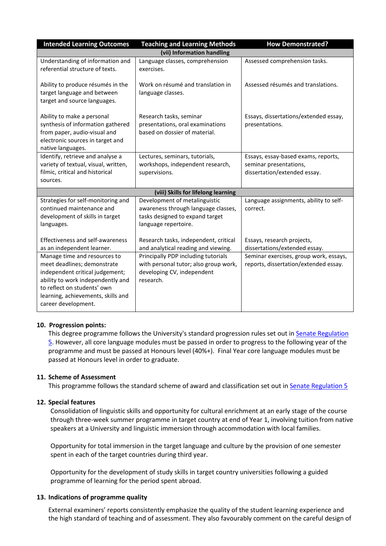| <b>Intended Learning Outcomes</b>                                                                                                                                                                                               | <b>Teaching and Learning Methods</b>                                                                                                                                     | <b>How Demonstrated?</b>                                                                      |  |
|---------------------------------------------------------------------------------------------------------------------------------------------------------------------------------------------------------------------------------|--------------------------------------------------------------------------------------------------------------------------------------------------------------------------|-----------------------------------------------------------------------------------------------|--|
| (vii) Information handling                                                                                                                                                                                                      |                                                                                                                                                                          |                                                                                               |  |
| Understanding of information and<br>referential structure of texts.                                                                                                                                                             | Language classes, comprehension<br>exercises.                                                                                                                            | Assessed comprehension tasks.                                                                 |  |
| Ability to produce résumés in the<br>target language and between<br>target and source languages.                                                                                                                                | Work on résumé and translation in<br>language classes.                                                                                                                   | Assessed résumés and translations.                                                            |  |
| Ability to make a personal<br>synthesis of information gathered<br>from paper, audio-visual and<br>electronic sources in target and<br>native languages.                                                                        | Research tasks, seminar<br>presentations, oral examinations<br>based on dossier of material.                                                                             | Essays, dissertations/extended essay,<br>presentations.                                       |  |
| Identify, retrieve and analyse a<br>variety of textual, visual, written,<br>filmic, critical and historical<br>sources.                                                                                                         | Lectures, seminars, tutorials,<br>workshops, independent research,<br>supervisions.                                                                                      | Essays, essay-based exams, reports,<br>seminar presentations,<br>dissertation/extended essay. |  |
|                                                                                                                                                                                                                                 | (viii) Skills for lifelong learning                                                                                                                                      |                                                                                               |  |
| Strategies for self-monitoring and<br>continued maintenance and<br>development of skills in target<br>languages.<br><b>Effectiveness and self-awareness</b>                                                                     | Development of metalinguistic<br>awareness through language classes,<br>tasks designed to expand target<br>language repertoire.<br>Research tasks, independent, critical | Language assignments, ability to self-<br>correct.<br>Essays, research projects,              |  |
| as an independent learner.                                                                                                                                                                                                      | and analytical reading and viewing.                                                                                                                                      | dissertations/extended essay.                                                                 |  |
| Manage time and resources to<br>meet deadlines; demonstrate<br>independent critical judgement;<br>ability to work independently and<br>to reflect on students' own<br>learning, achievements, skills and<br>career development. | Principally PDP including tutorials<br>with personal tutor; also group work,<br>developing CV, independent<br>research.                                                  | Seminar exercises, group work, essays,<br>reports, dissertation/extended essay.               |  |

### **10. Progression points:**

This degree programme follows the University's standard progression rules set out i[n Senate Regulation](https://www2.le.ac.uk/offices/sas2/regulations/documents/senatereg5-undergraduates)  [5.](https://www2.le.ac.uk/offices/sas2/regulations/documents/senatereg5-undergraduates) However, all core language modules must be passed in order to progress to the following year of the programme and must be passed at Honours level (40%+). Final Year core language modules must be passed at Honours level in order to graduate.

### **11. Scheme of Assessment**

This programme follows the standard scheme of award and classification set out in [Senate Regulation 5](https://www2.le.ac.uk/offices/sas2/regulations/documents/senatereg5-undergraduates)

### **12. Special features**

Consolidation of linguistic skills and opportunity for cultural enrichment at an early stage of the course through three-week summer programme in target country at end of Year 1, involving tuition from native speakers at a University and linguistic immersion through accommodation with local families.

Opportunity for total immersion in the target language and culture by the provision of one semester spent in each of the target countries during third year.

Opportunity for the development of study skills in target country universities following a guided programme of learning for the period spent abroad.

### **13. Indications of programme quality**

External examiners' reports consistently emphasize the quality of the student learning experience and the high standard of teaching and of assessment. They also favourably comment on the careful design of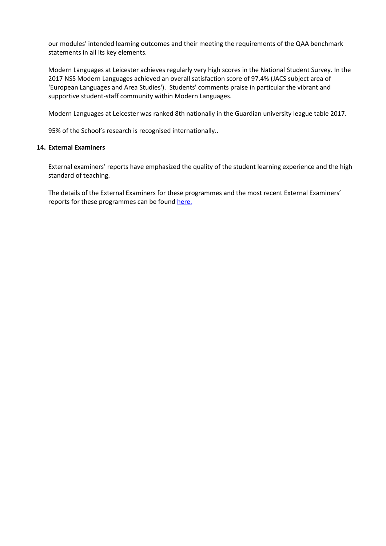our modules' intended learning outcomes and their meeting the requirements of the QAA benchmark statements in all its key elements.

Modern Languages at Leicester achieves regularly very high scores in the National Student Survey. In the 2017 NSS Modern Languages achieved an overall satisfaction score of 97.4% (JACS subject area of 'European Languages and Area Studies'). Students' comments praise in particular the vibrant and supportive student-staff community within Modern Languages.

Modern Languages at Leicester was ranked 8th nationally in the Guardian university league table 2017.

95% of the School's research is recognised internationally..

#### **14. External Examiners**

External examiners' reports have emphasized the quality of the student learning experience and the high standard of teaching.

The details of the External Examiners for these programmes and the most recent External Examiners' reports for these programmes can be found [here.](https://exampapers.le.ac.uk/xmlui/)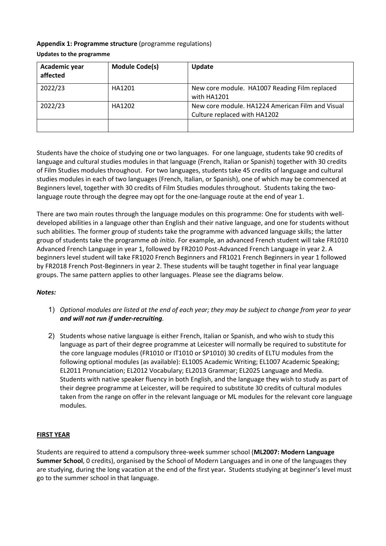### **Appendix 1: Programme structure** (programme regulations) **Updates to the programme**

| Academic year<br>affected | <b>Module Code(s)</b> | Update                                                                           |
|---------------------------|-----------------------|----------------------------------------------------------------------------------|
| 2022/23                   | HA1201                | New core module. HA1007 Reading Film replaced<br>with HA1201                     |
| 2022/23                   | HA1202                | New core module, HA1224 American Film and Visual<br>Culture replaced with HA1202 |
|                           |                       |                                                                                  |

Students have the choice of studying one or two languages. For one language, students take 90 credits of language and cultural studies modules in that language (French, Italian or Spanish) together with 30 credits of Film Studies modules throughout. For two languages, students take 45 credits of language and cultural studies modules in each of two languages (French, Italian, or Spanish), one of which may be commenced at Beginners level, together with 30 credits of Film Studies modules throughout. Students taking the twolanguage route through the degree may opt for the one-language route at the end of year 1.

There are two main routes through the language modules on this programme: One for students with welldeveloped abilities in a language other than English and their native language, and one for students without such abilities. The former group of students take the programme with advanced language skills; the latter group of students take the programme *ab initio*. For example, an advanced French student will take FR1010 Advanced French Language in year 1, followed by FR2010 Post-Advanced French Language in year 2. A beginners level student will take FR1020 French Beginners and FR1021 French Beginners in year 1 followed by FR2018 French Post-Beginners in year 2. These students will be taught together in final year language groups. The same pattern applies to other languages. Please see the diagrams below.

### *Notes:*

- 1) *Optional modules are listed at the end of each year; they may be subject to change from year to year and will not run if under-recruiting.*
- 2) Students whose native language is either French, Italian or Spanish, and who wish to study this language as part of their degree programme at Leicester will normally be required to substitute for the core language modules (FR1010 or IT1010 or SP1010) 30 credits of ELTU modules from the following optional modules (as available): EL1005 Academic Writing; EL1007 Academic Speaking; EL2011 Pronunciation; EL2012 Vocabulary; EL2013 Grammar; EL2025 Language and Media. Students with native speaker fluency in both English, and the language they wish to study as part of their degree programme at Leicester, will be required to substitute 30 credits of cultural modules taken from the range on offer in the relevant language or ML modules for the relevant core language modules.

### **FIRST YEAR**

Students are required to attend a compulsory three-week summer school (**ML2007: Modern Language Summer School**, 0 credits), organised by the School of Modern Languages and in one of the languages they are studying, during the long vacation at the end of the first year**.** Students studying at beginner's level must go to the summer school in that language.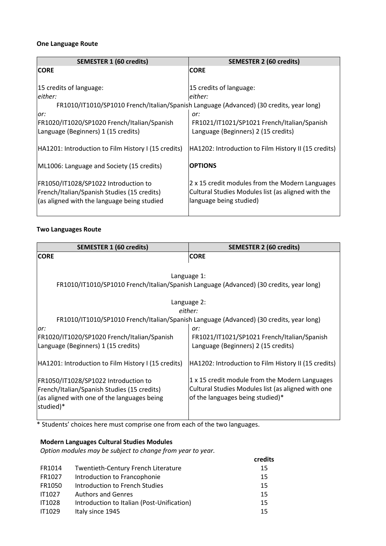### **One Language Route**

| <b>SEMESTER 1 (60 credits)</b>                      | <b>SEMESTER 2 (60 credits)</b>                                                          |
|-----------------------------------------------------|-----------------------------------------------------------------------------------------|
| <b>CORE</b>                                         | <b>CORE</b>                                                                             |
|                                                     |                                                                                         |
| 15 credits of language:                             | 15 credits of language:                                                                 |
| leither:                                            | either:                                                                                 |
|                                                     | FR1010/IT1010/SP1010 French/Italian/Spanish Language (Advanced) (30 credits, year long) |
| or:                                                 | or:                                                                                     |
| FR1020/IT1020/SP1020 French/Italian/Spanish         | FR1021/IT1021/SP1021 French/Italian/Spanish                                             |
| Language (Beginners) 1 (15 credits)                 | Language (Beginners) 2 (15 credits)                                                     |
|                                                     |                                                                                         |
| HA1201: Introduction to Film History I (15 credits) | HA1202: Introduction to Film History II (15 credits)                                    |
|                                                     |                                                                                         |
| ML1006: Language and Society (15 credits)           | <b>OPTIONS</b>                                                                          |
|                                                     |                                                                                         |
| FR1050/IT1028/SP1022 Introduction to                | 2 x 15 credit modules from the Modern Languages                                         |
| French/Italian/Spanish Studies (15 credits)         | Cultural Studies Modules list (as aligned with the                                      |
| (as aligned with the language being studied         | language being studied)                                                                 |
|                                                     |                                                                                         |

### **Two Languages Route**

| <b>SEMESTER 1 (60 credits)</b>                      | <b>SEMESTER 2 (60 credits)</b>                                                          |
|-----------------------------------------------------|-----------------------------------------------------------------------------------------|
| <b>CORE</b>                                         | <b>CORE</b>                                                                             |
|                                                     |                                                                                         |
|                                                     | Language 1:                                                                             |
|                                                     | FR1010/IT1010/SP1010 French/Italian/Spanish Language (Advanced) (30 credits, year long) |
|                                                     |                                                                                         |
|                                                     | Language 2:                                                                             |
|                                                     | either:                                                                                 |
|                                                     | FR1010/IT1010/SP1010 French/Italian/Spanish Language (Advanced) (30 credits, year long) |
| lor:                                                | or:                                                                                     |
| FR1020/IT1020/SP1020 French/Italian/Spanish         | FR1021/IT1021/SP1021 French/Italian/Spanish                                             |
| Language (Beginners) 1 (15 credits)                 | Language (Beginners) 2 (15 credits)                                                     |
|                                                     |                                                                                         |
| HA1201: Introduction to Film History I (15 credits) | HA1202: Introduction to Film History II (15 credits)                                    |
|                                                     |                                                                                         |
| FR1050/IT1028/SP1022 Introduction to                | 1 x 15 credit module from the Modern Languages                                          |
| French/Italian/Spanish Studies (15 credits)         | Cultural Studies Modules list (as aligned with one                                      |
| (as aligned with one of the languages being         | of the languages being studied)*                                                        |
| studied)*                                           |                                                                                         |
|                                                     |                                                                                         |

\* Students' choices here must comprise one from each of the two languages.

## **Modern Languages Cultural Studies Modules**

*Option modules may be subject to change from year to year.*

|               |                                            | credits |
|---------------|--------------------------------------------|---------|
| FR1014        | <b>Twentieth-Century French Literature</b> | 15      |
| FR1027        | Introduction to Francophonie               | 15      |
| FR1050        | Introduction to French Studies             | 15      |
| <b>IT1027</b> | <b>Authors and Genres</b>                  | 15      |
| <b>IT1028</b> | Introduction to Italian (Post-Unification) | 15      |
| <b>IT1029</b> | Italy since 1945                           | 15      |
|               |                                            |         |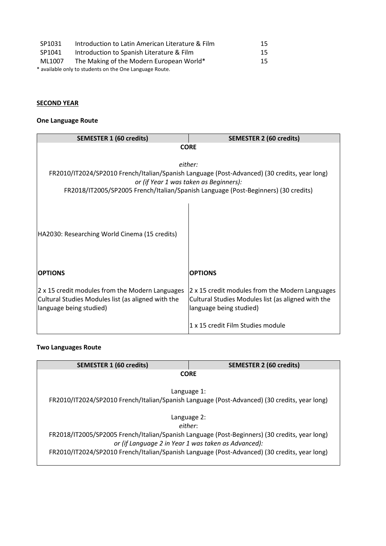| SP1031 | Introduction to Latin American Literature & Film        | 15 |
|--------|---------------------------------------------------------|----|
| SP1041 | Introduction to Spanish Literature & Film               | 15 |
| ML1007 | The Making of the Modern European World*                | 15 |
|        | * available only to students on the One Language Route. |    |

## **SECOND YEAR**

## **One Language Route**

| <b>SEMESTER 1 (60 credits)</b>                     | <b>SEMESTER 2 (60 credits)</b>                                                               |  |
|----------------------------------------------------|----------------------------------------------------------------------------------------------|--|
| <b>CORE</b>                                        |                                                                                              |  |
|                                                    |                                                                                              |  |
|                                                    | either:                                                                                      |  |
|                                                    | FR2010/IT2024/SP2010 French/Italian/Spanish Language (Post-Advanced) (30 credits, year long) |  |
|                                                    | or (if Year 1 was taken as Beginners):                                                       |  |
|                                                    | FR2018/IT2005/SP2005 French/Italian/Spanish Language (Post-Beginners) (30 credits)           |  |
|                                                    |                                                                                              |  |
|                                                    |                                                                                              |  |
|                                                    |                                                                                              |  |
|                                                    |                                                                                              |  |
| HA2030: Researching World Cinema (15 credits)      |                                                                                              |  |
|                                                    |                                                                                              |  |
|                                                    |                                                                                              |  |
|                                                    |                                                                                              |  |
| <b>OPTIONS</b>                                     | <b>IOPTIONS</b>                                                                              |  |
|                                                    |                                                                                              |  |
| 2 x 15 credit modules from the Modern Languages    | 2 x 15 credit modules from the Modern Languages                                              |  |
| Cultural Studies Modules list (as aligned with the | Cultural Studies Modules list (as aligned with the                                           |  |
| language being studied)                            | language being studied)                                                                      |  |
|                                                    |                                                                                              |  |
|                                                    | 1 x 15 credit Film Studies module                                                            |  |

## **Two Languages Route**

| <b>SEMESTER 1 (60 credits)</b>                                                                | <b>SEMESTER 2 (60 credits)</b> |  |
|-----------------------------------------------------------------------------------------------|--------------------------------|--|
| <b>CORE</b>                                                                                   |                                |  |
|                                                                                               |                                |  |
| Language 1:                                                                                   |                                |  |
| FR2010/IT2024/SP2010 French/Italian/Spanish Language (Post-Advanced) (30 credits, year long)  |                                |  |
|                                                                                               |                                |  |
| Language 2:                                                                                   |                                |  |
| either:                                                                                       |                                |  |
| FR2018/IT2005/SP2005 French/Italian/Spanish Language (Post-Beginners) (30 credits, year long) |                                |  |
| or (if Language 2 in Year 1 was taken as Advanced):                                           |                                |  |
| FR2010/IT2024/SP2010 French/Italian/Spanish Language (Post-Advanced) (30 credits, year long)  |                                |  |
|                                                                                               |                                |  |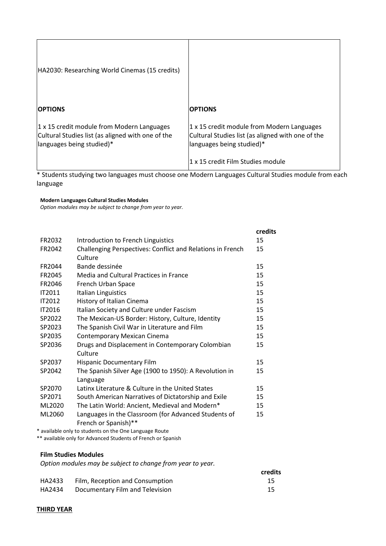| HA2030: Researching World Cinemas (15 credits)                                                                               |                                                                                                                              |
|------------------------------------------------------------------------------------------------------------------------------|------------------------------------------------------------------------------------------------------------------------------|
| <b>OPTIONS</b>                                                                                                               | <b>OPTIONS</b>                                                                                                               |
| 1 x 15 credit module from Modern Languages<br>Cultural Studies list (as aligned with one of the<br>languages being studied)* | 1 x 15 credit module from Modern Languages<br>Cultural Studies list (as aligned with one of the<br>languages being studied)* |
|                                                                                                                              | 1 x 15 credit Film Studies module                                                                                            |

\* Students studying two languages must choose one Modern Languages Cultural Studies module from each language

**Modern Languages Cultural Studies Modules**

*Option modules may be subject to change from year to year.*

|               |                                                                              | credits |
|---------------|------------------------------------------------------------------------------|---------|
| FR2032        | Introduction to French Linguistics                                           | 15      |
| FR2042        | Challenging Perspectives: Conflict and Relations in French<br>Culture        | 15      |
| FR2044        | Bande dessinée                                                               | 15      |
| FR2045        | Media and Cultural Practices in France                                       | 15      |
| FR2046        | French Urban Space                                                           | 15      |
| <b>IT2011</b> | <b>Italian Linguistics</b>                                                   | 15      |
| IT2012        | History of Italian Cinema                                                    | 15      |
| <b>IT2016</b> | Italian Society and Culture under Fascism                                    | 15      |
| SP2022        | The Mexican-US Border: History, Culture, Identity                            | 15      |
| SP2023        | The Spanish Civil War in Literature and Film                                 | 15      |
| SP2035        | <b>Contemporary Mexican Cinema</b>                                           | 15      |
| SP2036        | Drugs and Displacement in Contemporary Colombian<br>Culture                  | 15      |
| SP2037        | <b>Hispanic Documentary Film</b>                                             | 15      |
| SP2042        | The Spanish Silver Age (1900 to 1950): A Revolution in<br>Language           | 15      |
| SP2070        | Latinx Literature & Culture in the United States                             | 15      |
| SP2071        | South American Narratives of Dictatorship and Exile                          | 15      |
| ML2020        | The Latin World: Ancient, Medieval and Modern*                               | 15      |
| ML2060<br>.   | Languages in the Classroom (for Advanced Students of<br>French or Spanish)** | 15      |

\* available only to students on the One Language Route

\*\* available only for Advanced Students of French or Spanish

#### **Film Studies Modules**

*Option modules may be subject to change from year to year.*

|        |                                 | credits |
|--------|---------------------------------|---------|
| HA2433 | Film, Reception and Consumption |         |
| HA2434 | Documentary Film and Television |         |

#### **THIRD YEAR**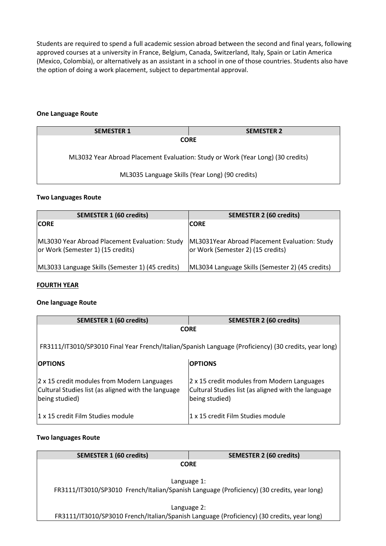Students are required to spend a full academic session abroad between the second and final years, following approved courses at a university in France, Belgium, Canada, Switzerland, Italy, Spain or Latin America (Mexico, Colombia), or alternatively as an assistant in a school in one of those countries. Students also have the option of doing a work placement, subject to departmental approval.

### **One Language Route**

| <b>SEMESTER 1</b>                                                               | <b>SEMESTER 2</b> |  |
|---------------------------------------------------------------------------------|-------------------|--|
| <b>CORE</b>                                                                     |                   |  |
| ML3032 Year Abroad Placement Evaluation: Study or Work (Year Long) (30 credits) |                   |  |
| ML3035 Language Skills (Year Long) (90 credits)                                 |                   |  |

### **Two Languages Route**

| <b>SEMESTER 1 (60 credits)</b>                                                      | <b>SEMESTER 2 (60 credits)</b>                                                     |
|-------------------------------------------------------------------------------------|------------------------------------------------------------------------------------|
| <b>ICORE</b>                                                                        | <b>CORE</b>                                                                        |
| ML3030 Year Abroad Placement Evaluation: Study<br>or Work (Semester 1) (15 credits) | ML3031Year Abroad Placement Evaluation: Study<br>or Work (Semester 2) (15 credits) |
| ML3033 Language Skills (Semester 1) (45 credits)                                    | ML3034 Language Skills (Semester 2) (45 credits)                                   |

### **FOURTH YEAR**

### **One language Route**

| <b>SEMESTER 1 (60 credits)</b>                                                                                       | <b>SEMESTER 2 (60 credits)</b>                                                                                       |  |  |
|----------------------------------------------------------------------------------------------------------------------|----------------------------------------------------------------------------------------------------------------------|--|--|
|                                                                                                                      | <b>CORE</b>                                                                                                          |  |  |
| FR3111/IT3010/SP3010 Final Year French/Italian/Spanish Language (Proficiency) (30 credits, year long)                |                                                                                                                      |  |  |
| <b>OPTIONS</b>                                                                                                       | <b>OPTIONS</b>                                                                                                       |  |  |
| 2 x 15 credit modules from Modern Languages<br>Cultural Studies list (as aligned with the language<br>being studied) | 2 x 15 credit modules from Modern Languages<br>Cultural Studies list (as aligned with the language<br>being studied) |  |  |
| 11 x 15 credit Film Studies module                                                                                   | 1 x 15 credit Film Studies module                                                                                    |  |  |

### **Two languages Route**

| <b>SEMESTER 1 (60 credits)</b>                                                             | <b>SEMESTER 2 (60 credits)</b>                                                             |  |
|--------------------------------------------------------------------------------------------|--------------------------------------------------------------------------------------------|--|
|                                                                                            | <b>CORE</b>                                                                                |  |
|                                                                                            |                                                                                            |  |
|                                                                                            | Language 1:                                                                                |  |
| FR3111/IT3010/SP3010 French/Italian/Spanish Language (Proficiency) (30 credits, year long) |                                                                                            |  |
|                                                                                            |                                                                                            |  |
|                                                                                            | Language 2:                                                                                |  |
|                                                                                            | FR3111/IT3010/SP3010 French/Italian/Spanish Language (Proficiency) (30 credits, year long) |  |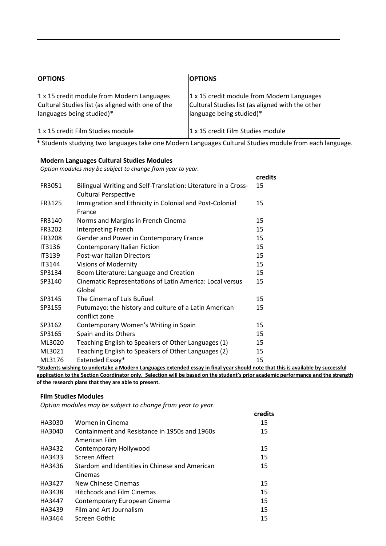| <b>OPTIONS</b>                                                                                                               | <b>OPTIONS</b>                                                                                                             |
|------------------------------------------------------------------------------------------------------------------------------|----------------------------------------------------------------------------------------------------------------------------|
| 1 x 15 credit module from Modern Languages<br>Cultural Studies list (as aligned with one of the<br>languages being studied)* | 1 x 15 credit module from Modern Languages<br>Cultural Studies list (as aligned with the other<br>language being studied)* |
| 1 x 15 credit Film Studies module                                                                                            | 1 x 15 credit Film Studies module                                                                                          |

\* Students studying two languages take one Modern Languages Cultural Studies module from each language.

### **Modern Languages Cultural Studies Modules**

*Option modules may be subject to change from year to year.*

|               |                                                                                                               | credits |
|---------------|---------------------------------------------------------------------------------------------------------------|---------|
| FR3051        | Bilingual Writing and Self-Translation: Literature in a Cross-                                                | 15      |
|               | <b>Cultural Perspective</b>                                                                                   |         |
| FR3125        | Immigration and Ethnicity in Colonial and Post-Colonial<br>France                                             | 15      |
| FR3140        | Norms and Margins in French Cinema                                                                            | 15      |
| FR3202        | <b>Interpreting French</b>                                                                                    | 15      |
| FR3208        | Gender and Power in Contemporary France                                                                       | 15      |
| IT3136        | Contemporary Italian Fiction                                                                                  | 15      |
| <b>IT3139</b> | Post-war Italian Directors                                                                                    | 15      |
| <b>IT3144</b> | <b>Visions of Modernity</b>                                                                                   | 15      |
| SP3134        | Boom Literature: Language and Creation                                                                        | 15      |
| SP3140        | Cinematic Representations of Latin America: Local versus                                                      | 15      |
|               | Global                                                                                                        |         |
| SP3145        | The Cinema of Luis Buñuel                                                                                     | 15      |
| SP3155        | Putumayo: the history and culture of a Latin American                                                         | 15      |
|               | conflict zone                                                                                                 |         |
| SP3162        | Contemporary Women's Writing in Spain                                                                         | 15      |
| SP3165        | Spain and its Others                                                                                          | 15      |
| ML3020        | Teaching English to Speakers of Other Languages (1)                                                           | 15      |
| ML3021        | Teaching English to Speakers of Other Languages (2)                                                           | 15      |
| ML3176        | Extended Essay*                                                                                               | 15      |
|               | antar a musical como transmissão de contrato de constituída e forma de contrato de contrato de la contrato de |         |

**\*Students wishing to undertake a Modern Languages extended essay in final year should note that this is available by successful application to the Section Coordinator only. Selection will be based on the student's prior academic performance and the strength of the research plans that they are able to present.**

### **Film Studies Modules**

*Option modules may be subject to change from year to year.*

|        |                                                | credits |
|--------|------------------------------------------------|---------|
| HA3030 | Women in Cinema                                | 15      |
| HA3040 | Containment and Resistance in 1950s and 1960s  | 15      |
|        | American Film                                  |         |
| HA3432 | Contemporary Hollywood                         | 15      |
| HA3433 | Screen Affect                                  | 15      |
| HA3436 | Stardom and Identities in Chinese and American | 15      |
|        | Cinemas                                        |         |
| HA3427 | New Chinese Cinemas                            | 15      |
| HA3438 | <b>Hitchcock and Film Cinemas</b>              | 15      |
| HA3447 | Contemporary European Cinema                   | 15      |
| HA3439 | Film and Art Journalism                        | 15      |
| HA3464 | Screen Gothic                                  | 15      |
|        |                                                |         |